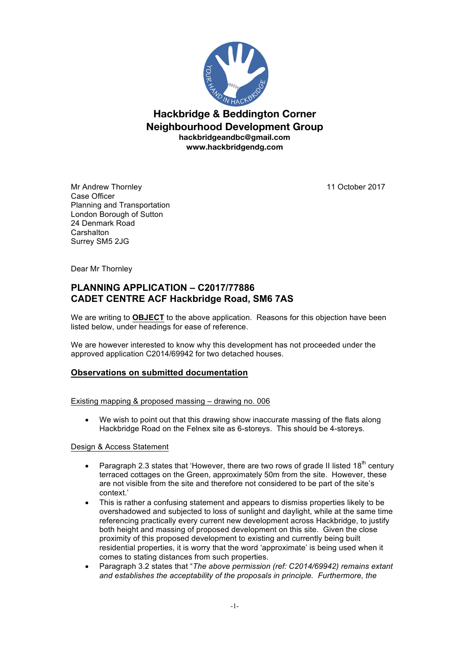

**Hackbridge & Beddington Corner Neighbourhood Development Group hackbridgeandbc@gmail.com www.hackbridgendg.com**

Mr Andrew Thornley 11 October 2017 Case Officer Planning and Transportation London Borough of Sutton 24 Denmark Road **Carshalton** Surrey SM5 2JG

Dear Mr Thornley

# **PLANNING APPLICATION – C2017/77886 CADET CENTRE ACF Hackbridge Road, SM6 7AS**

We are writing to **OBJECT** to the above application. Reasons for this objection have been listed below, under headings for ease of reference.

We are however interested to know why this development has not proceeded under the approved application C2014/69942 for two detached houses.

### **Observations on submitted documentation**

Existing mapping & proposed massing – drawing no. 006

We wish to point out that this drawing show inaccurate massing of the flats along Hackbridge Road on the Felnex site as 6-storeys. This should be 4-storeys.

### Design & Access Statement

- Paragraph 2.3 states that 'However, there are two rows of grade II listed 18<sup>th</sup> century terraced cottages on the Green, approximately 50m from the site. However, these are not visible from the site and therefore not considered to be part of the site's context.'
- This is rather a confusing statement and appears to dismiss properties likely to be overshadowed and subjected to loss of sunlight and daylight, while at the same time referencing practically every current new development across Hackbridge, to justify both height and massing of proposed development on this site. Given the close proximity of this proposed development to existing and currently being built residential properties, it is worry that the word 'approximate' is being used when it comes to stating distances from such properties.
- Paragraph 3.2 states that "*The above permission (ref: C2014/69942) remains extant and establishes the acceptability of the proposals in principle. Furthermore, the*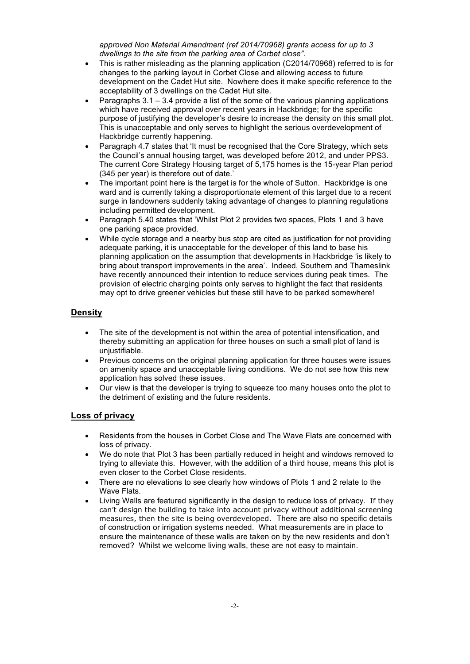*approved Non Material Amendment (ref 2014/70968) grants access for up to 3 dwellings to the site from the parking area of Corbet close".*

- This is rather misleading as the planning application (C2014/70968) referred to is for changes to the parking layout in Corbet Close and allowing access to future development on the Cadet Hut site. Nowhere does it make specific reference to the acceptability of 3 dwellings on the Cadet Hut site.
- Paragraphs  $3.1 3.4$  provide a list of the some of the various planning applications which have received approval over recent years in Hackbridge; for the specific purpose of justifying the developer's desire to increase the density on this small plot. This is unacceptable and only serves to highlight the serious overdevelopment of Hackbridge currently happening.
- Paragraph 4.7 states that 'It must be recognised that the Core Strategy, which sets the Council's annual housing target, was developed before 2012, and under PPS3. The current Core Strategy Housing target of 5,175 homes is the 15-year Plan period (345 per year) is therefore out of date.'
- The important point here is the target is for the whole of Sutton. Hackbridge is one ward and is currently taking a disproportionate element of this target due to a recent surge in landowners suddenly taking advantage of changes to planning regulations including permitted development.
- Paragraph 5.40 states that 'Whilst Plot 2 provides two spaces, Plots 1 and 3 have one parking space provided.
- While cycle storage and a nearby bus stop are cited as justification for not providing adequate parking, it is unacceptable for the developer of this land to base his planning application on the assumption that developments in Hackbridge 'is likely to bring about transport improvements in the area'. Indeed, Southern and Thameslink have recently announced their intention to reduce services during peak times. The provision of electric charging points only serves to highlight the fact that residents may opt to drive greener vehicles but these still have to be parked somewhere!

## **Density**

- The site of the development is not within the area of potential intensification, and thereby submitting an application for three houses on such a small plot of land is uniustifiable.
- Previous concerns on the original planning application for three houses were issues on amenity space and unacceptable living conditions. We do not see how this new application has solved these issues.
- Our view is that the developer is trying to squeeze too many houses onto the plot to the detriment of existing and the future residents.

### **Loss of privacy**

- Residents from the houses in Corbet Close and The Wave Flats are concerned with loss of privacy.
- We do note that Plot 3 has been partially reduced in height and windows removed to trying to alleviate this. However, with the addition of a third house, means this plot is even closer to the Corbet Close residents.
- There are no elevations to see clearly how windows of Plots 1 and 2 relate to the Wave Flats.
- Living Walls are featured significantly in the design to reduce loss of privacy. If they can't design the building to take into account privacy without additional screening measures, then the site is being overdeveloped. There are also no specific details of construction or irrigation systems needed. What measurements are in place to ensure the maintenance of these walls are taken on by the new residents and don't removed? Whilst we welcome living walls, these are not easy to maintain.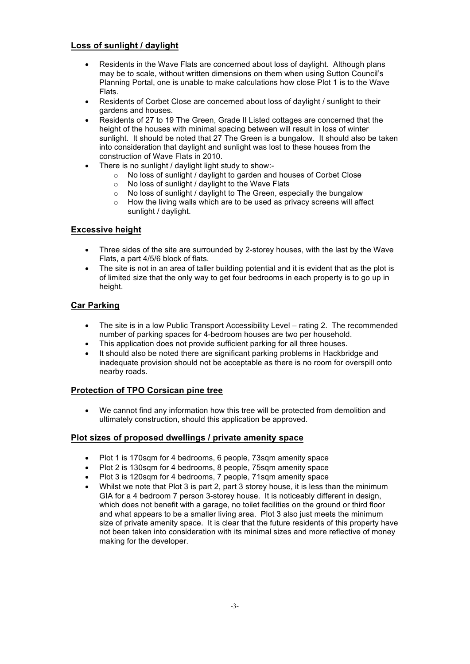### **Loss of sunlight / daylight**

- Residents in the Wave Flats are concerned about loss of daylight. Although plans may be to scale, without written dimensions on them when using Sutton Council's Planning Portal, one is unable to make calculations how close Plot 1 is to the Wave Flats.
- Residents of Corbet Close are concerned about loss of daylight / sunlight to their gardens and houses.
- Residents of 27 to 19 The Green, Grade II Listed cottages are concerned that the height of the houses with minimal spacing between will result in loss of winter sunlight. It should be noted that 27 The Green is a bungalow. It should also be taken into consideration that daylight and sunlight was lost to these houses from the construction of Wave Flats in 2010.
- There is no sunlight / daylight light study to show:-
	- $\circ$  No loss of sunlight / daylight to garden and houses of Corbet Close
	- o No loss of sunlight / daylight to the Wave Flats
	- o No loss of sunlight / daylight to The Green, especially the bungalow
	- o How the living walls which are to be used as privacy screens will affect sunlight / daylight.

### **Excessive height**

- Three sides of the site are surrounded by 2-storey houses, with the last by the Wave Flats, a part 4/5/6 block of flats.
- The site is not in an area of taller building potential and it is evident that as the plot is of limited size that the only way to get four bedrooms in each property is to go up in height.

### **Car Parking**

- The site is in a low Public Transport Accessibility Level rating 2. The recommended number of parking spaces for 4-bedroom houses are two per household.
- This application does not provide sufficient parking for all three houses.
- It should also be noted there are significant parking problems in Hackbridge and inadequate provision should not be acceptable as there is no room for overspill onto nearby roads.

### **Protection of TPO Corsican pine tree**

• We cannot find any information how this tree will be protected from demolition and ultimately construction, should this application be approved.

### **Plot sizes of proposed dwellings / private amenity space**

- Plot 1 is 170sqm for 4 bedrooms, 6 people, 73sqm amenity space
- Plot 2 is 130sqm for 4 bedrooms, 8 people, 75sqm amenity space
- Plot 3 is 120sqm for 4 bedrooms, 7 people, 71sqm amenity space
- Whilst we note that Plot 3 is part 2, part 3 storey house, it is less than the minimum GIA for a 4 bedroom 7 person 3-storey house. It is noticeably different in design, which does not benefit with a garage, no toilet facilities on the ground or third floor and what appears to be a smaller living area. Plot 3 also just meets the minimum size of private amenity space. It is clear that the future residents of this property have not been taken into consideration with its minimal sizes and more reflective of money making for the developer.